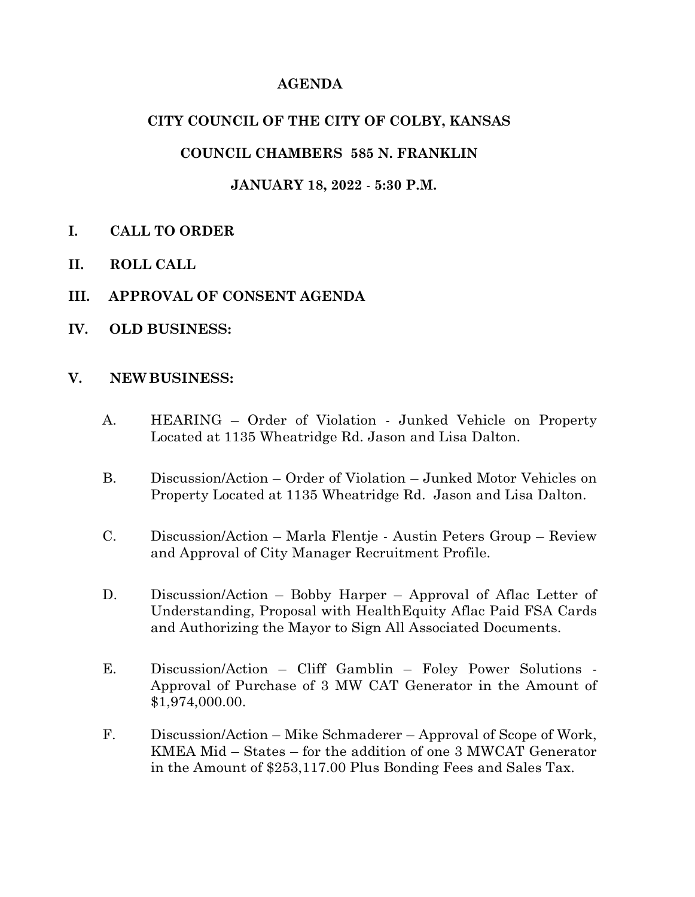### **AGENDA**

### **CITY COUNCIL OF THE CITY OF COLBY, KANSAS**

# **COUNCIL CHAMBERS 585 N. FRANKLIN**

### **JANUARY 18, 2022** - **5:30 P.M.**

- **I. CALL TO ORDER**
- **II. ROLL CALL**
- **III. APPROVAL OF CONSENT AGENDA**
- **IV. OLD BUSINESS:**

#### **V. NEW BUSINESS:**

- A. HEARING Order of Violation Junked Vehicle on Property Located at 1135 Wheatridge Rd. Jason and Lisa Dalton.
- B. Discussion/Action Order of Violation Junked Motor Vehicles on Property Located at 1135 Wheatridge Rd. Jason and Lisa Dalton.
- C. Discussion/Action Marla Flentje Austin Peters Group Review and Approval of City Manager Recruitment Profile.
- D. Discussion/Action Bobby Harper Approval of Aflac Letter of Understanding, Proposal with HealthEquity Aflac Paid FSA Cards and Authorizing the Mayor to Sign All Associated Documents.
- E. Discussion/Action Cliff Gamblin Foley Power Solutions Approval of Purchase of 3 MW CAT Generator in the Amount of \$1,974,000.00.
- F. Discussion/Action Mike Schmaderer Approval of Scope of Work, KMEA Mid – States – for the addition of one 3 MWCAT Generator in the Amount of \$253,117.00 Plus Bonding Fees and Sales Tax.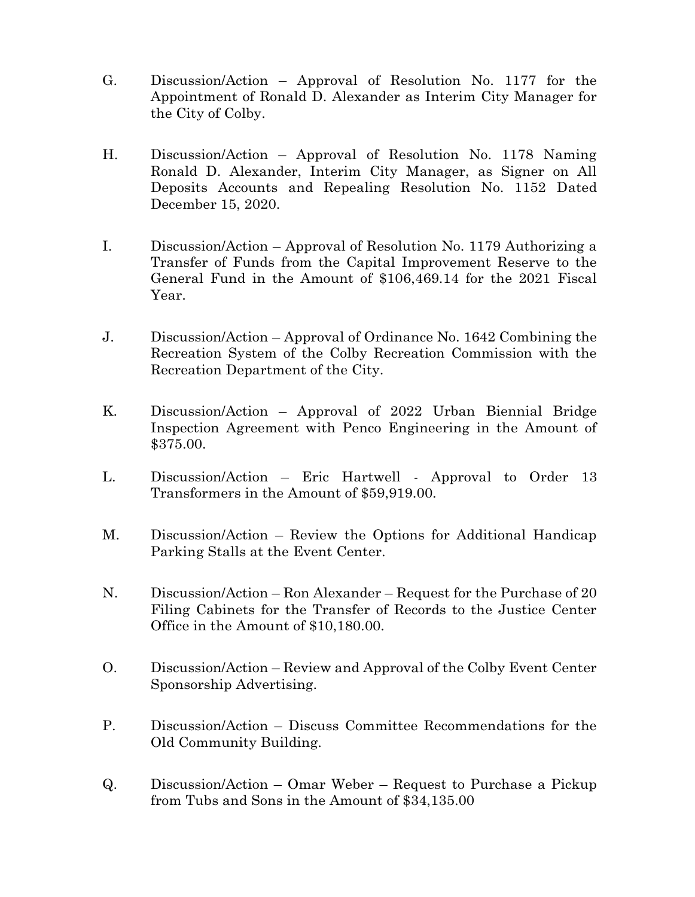- G. Discussion/Action Approval of Resolution No. 1177 for the Appointment of Ronald D. Alexander as Interim City Manager for the City of Colby.
- H. Discussion/Action Approval of Resolution No. 1178 Naming Ronald D. Alexander, Interim City Manager, as Signer on All Deposits Accounts and Repealing Resolution No. 1152 Dated December 15, 2020.
- I. Discussion/Action Approval of Resolution No. 1179 Authorizing a Transfer of Funds from the Capital Improvement Reserve to the General Fund in the Amount of \$106,469.14 for the 2021 Fiscal Year.
- J. Discussion/Action Approval of Ordinance No. 1642 Combining the Recreation System of the Colby Recreation Commission with the Recreation Department of the City.
- K. Discussion/Action Approval of 2022 Urban Biennial Bridge Inspection Agreement with Penco Engineering in the Amount of \$375.00.
- L. Discussion/Action Eric Hartwell Approval to Order 13 Transformers in the Amount of \$59,919.00.
- M. Discussion/Action Review the Options for Additional Handicap Parking Stalls at the Event Center.
- N. Discussion/Action Ron Alexander Request for the Purchase of 20 Filing Cabinets for the Transfer of Records to the Justice Center Office in the Amount of \$10,180.00.
- O. Discussion/Action Review and Approval of the Colby Event Center Sponsorship Advertising.
- P. Discussion/Action Discuss Committee Recommendations for the Old Community Building.
- Q. Discussion/Action Omar Weber Request to Purchase a Pickup from Tubs and Sons in the Amount of \$34,135.00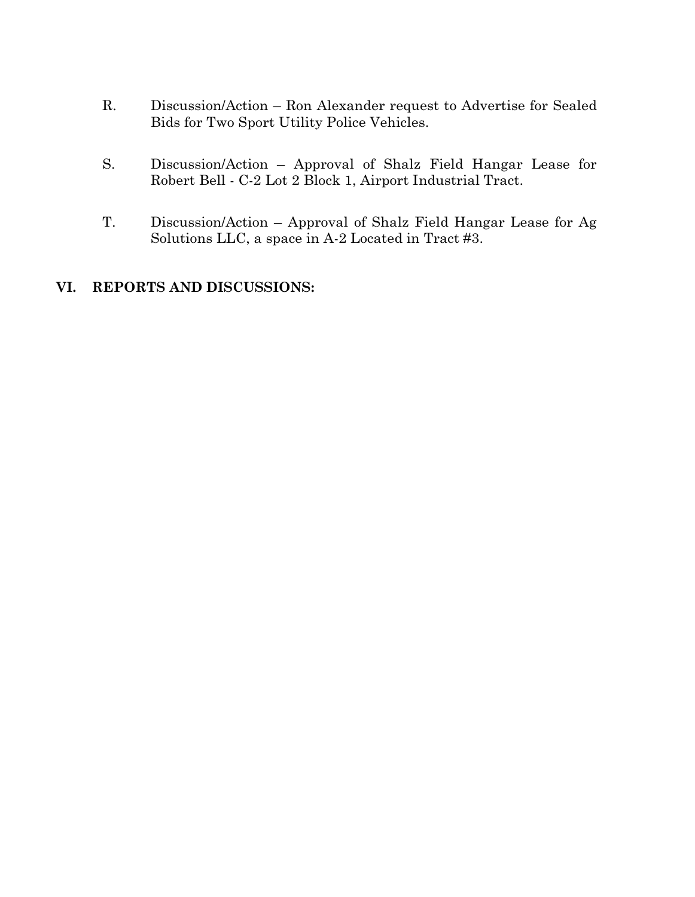- R. Discussion/Action Ron Alexander request to Advertise for Sealed Bids for Two Sport Utility Police Vehicles.
- S. Discussion/Action Approval of Shalz Field Hangar Lease for Robert Bell - C-2 Lot 2 Block 1, Airport Industrial Tract.
- T. Discussion/Action Approval of Shalz Field Hangar Lease for Ag Solutions LLC, a space in A-2 Located in Tract #3.

# **VI. REPORTS AND DISCUSSIONS:**